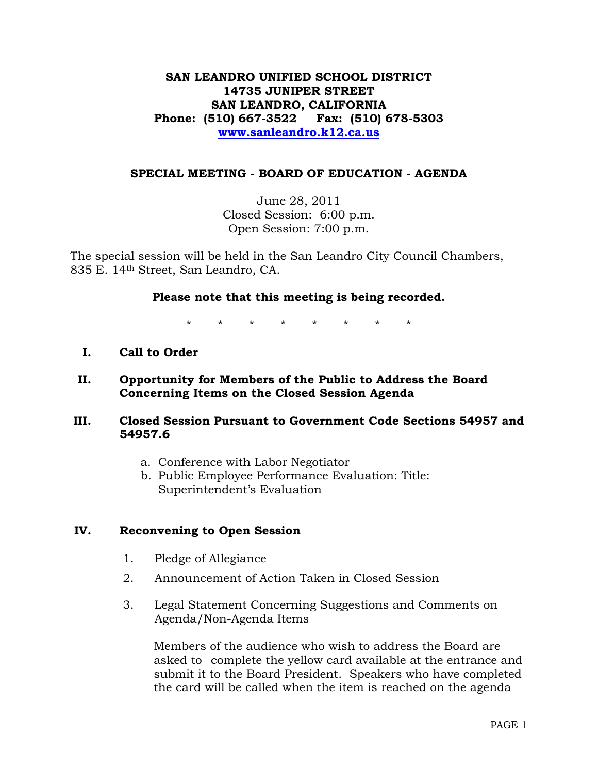# **SAN LEANDRO UNIFIED SCHOOL DISTRICT 14735 JUNIPER STREET SAN LEANDRO, CALIFORNIA Phone: (510) 667-3522 Fax: (510) 678-5303 www.sanleandro.k12.ca.us**

#### **SPECIAL MEETING - BOARD OF EDUCATION - AGENDA**

June 28, 2011 Closed Session: 6:00 p.m. Open Session: 7:00 p.m.

The special session will be held in the San Leandro City Council Chambers, 835 E. 14th Street, San Leandro, CA.

### **Please note that this meeting is being recorded.**

\* \* \* \* \* \* \* \*

**I. Call to Order** 

### **II. Opportunity for Members of the Public to Address the Board Concerning Items on the Closed Session Agenda**

- **III. Closed Session Pursuant to Government Code Sections 54957 and 54957.6** 
	- a. Conference with Labor Negotiator
	- b. Public Employee Performance Evaluation: Title: Superintendent's Evaluation

#### **IV. Reconvening to Open Session**

- 1. Pledge of Allegiance
- 2. Announcement of Action Taken in Closed Session
- 3. Legal Statement Concerning Suggestions and Comments on Agenda/Non-Agenda Items

 Members of the audience who wish to address the Board are asked to complete the yellow card available at the entrance and submit it to the Board President. Speakers who have completed the card will be called when the item is reached on the agenda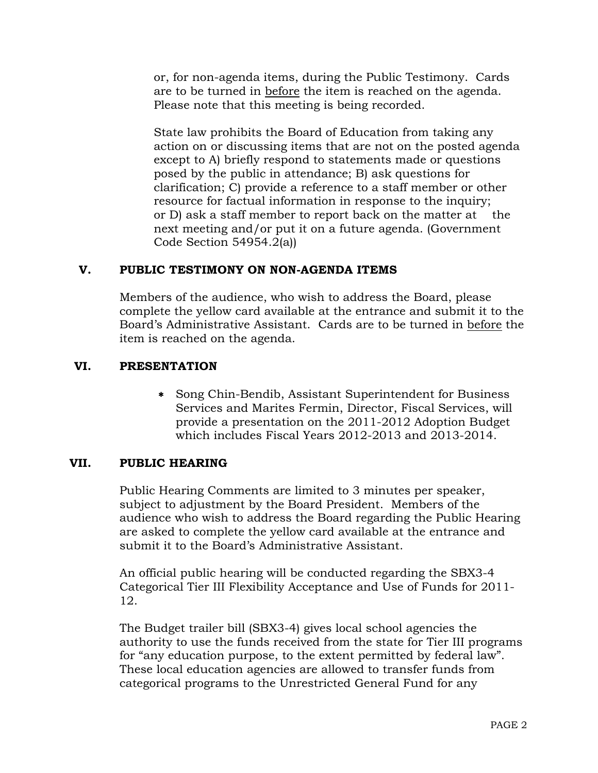or, for non-agenda items, during the Public Testimony. Cards are to be turned in before the item is reached on the agenda. Please note that this meeting is being recorded.

 State law prohibits the Board of Education from taking any action on or discussing items that are not on the posted agenda except to A) briefly respond to statements made or questions posed by the public in attendance; B) ask questions for clarification; C) provide a reference to a staff member or other resource for factual information in response to the inquiry; or D) ask a staff member to report back on the matter at the next meeting and/or put it on a future agenda. (Government Code Section 54954.2(a))

# **V. PUBLIC TESTIMONY ON NON-AGENDA ITEMS**

Members of the audience, who wish to address the Board, please complete the yellow card available at the entrance and submit it to the Board's Administrative Assistant. Cards are to be turned in before the item is reached on the agenda.

# **VI. PRESENTATION**

 Song Chin-Bendib, Assistant Superintendent for Business Services and Marites Fermin, Director, Fiscal Services, will provide a presentation on the 2011-2012 Adoption Budget which includes Fiscal Years 2012-2013 and 2013-2014.

# **VII. PUBLIC HEARING**

Public Hearing Comments are limited to 3 minutes per speaker, subject to adjustment by the Board President. Members of the audience who wish to address the Board regarding the Public Hearing are asked to complete the yellow card available at the entrance and submit it to the Board's Administrative Assistant.

An official public hearing will be conducted regarding the SBX3-4 Categorical Tier III Flexibility Acceptance and Use of Funds for 2011- 12.

The Budget trailer bill (SBX3-4) gives local school agencies the authority to use the funds received from the state for Tier III programs for "any education purpose, to the extent permitted by federal law". These local education agencies are allowed to transfer funds from categorical programs to the Unrestricted General Fund for any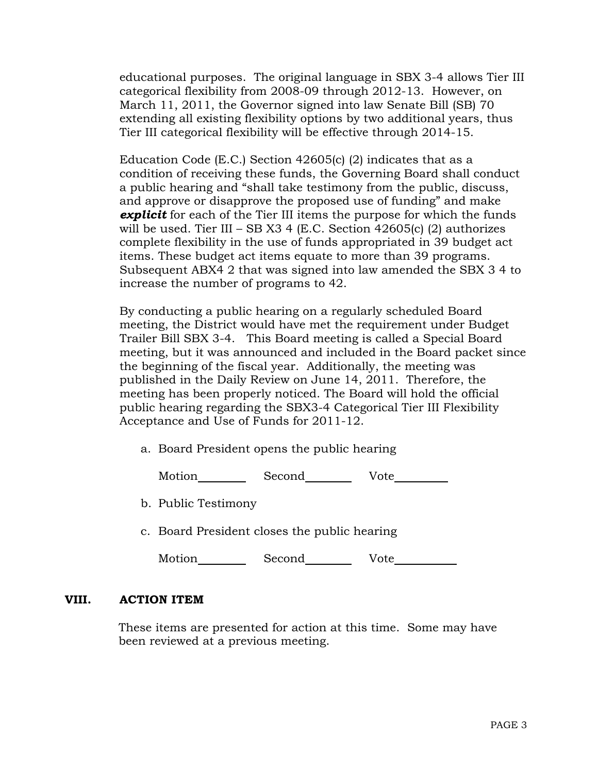educational purposes. The original language in SBX 3-4 allows Tier III categorical flexibility from 2008-09 through 2012-13. However, on March 11, 2011, the Governor signed into law Senate Bill (SB) 70 extending all existing flexibility options by two additional years, thus Tier III categorical flexibility will be effective through 2014-15.

Education Code (E.C.) Section 42605(c) (2) indicates that as a condition of receiving these funds, the Governing Board shall conduct a public hearing and "shall take testimony from the public, discuss, and approve or disapprove the proposed use of funding" and make *explicit* for each of the Tier III items the purpose for which the funds will be used. Tier III – SB X3 4 (E.C. Section  $42605(c)$  (2) authorizes complete flexibility in the use of funds appropriated in 39 budget act items. These budget act items equate to more than 39 programs. Subsequent ABX4 2 that was signed into law amended the SBX 3 4 to increase the number of programs to 42.

By conducting a public hearing on a regularly scheduled Board meeting, the District would have met the requirement under Budget Trailer Bill SBX 3-4. This Board meeting is called a Special Board meeting, but it was announced and included in the Board packet since the beginning of the fiscal year. Additionally, the meeting was published in the Daily Review on June 14, 2011. Therefore, the meeting has been properly noticed. The Board will hold the official public hearing regarding the SBX3-4 Categorical Tier III Flexibility Acceptance and Use of Funds for 2011-12.

a. Board President opens the public hearing

Motion Second Vote

b. Public Testimony

c. Board President closes the public hearing

|  | Motion | Second | Vote |
|--|--------|--------|------|
|--|--------|--------|------|

#### **VIII. ACTION ITEM**

These items are presented for action at this time. Some may have been reviewed at a previous meeting.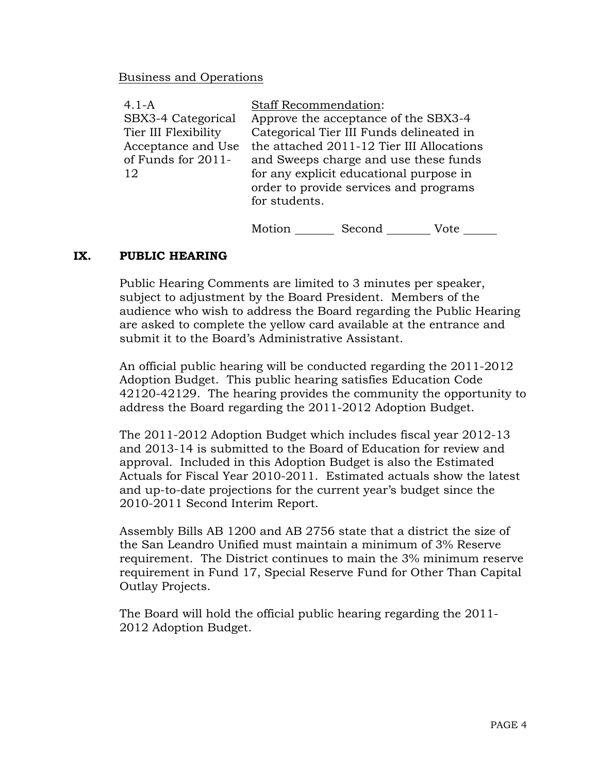#### Business and Operations

| $4.1 - A$            | <b>Staff Recommendation:</b>              |
|----------------------|-------------------------------------------|
| SBX3-4 Categorical   | Approve the acceptance of the SBX3-4      |
| Tier III Flexibility | Categorical Tier III Funds delineated in  |
| Acceptance and Use   | the attached 2011-12 Tier III Allocations |
| of Funds for 2011-   | and Sweeps charge and use these funds     |
| 12                   | for any explicit educational purpose in   |
|                      | order to provide services and programs    |
|                      | for students.                             |
|                      |                                           |

Motion Second Vote \_\_\_\_\_\_

#### **IX. PUBLIC HEARING**

Public Hearing Comments are limited to 3 minutes per speaker, subject to adjustment by the Board President. Members of the audience who wish to address the Board regarding the Public Hearing are asked to complete the yellow card available at the entrance and submit it to the Board's Administrative Assistant.

An official public hearing will be conducted regarding the 2011-2012 Adoption Budget. This public hearing satisfies Education Code 42120-42129. The hearing provides the community the opportunity to address the Board regarding the 2011-2012 Adoption Budget.

The 2011-2012 Adoption Budget which includes fiscal year 2012-13 and 2013-14 is submitted to the Board of Education for review and approval. Included in this Adoption Budget is also the Estimated Actuals for Fiscal Year 2010-2011. Estimated actuals show the latest and up-to-date projections for the current year's budget since the 2010-2011 Second Interim Report.

Assembly Bills AB 1200 and AB 2756 state that a district the size of the San Leandro Unified must maintain a minimum of 3% Reserve requirement. The District continues to main the 3% minimum reserve requirement in Fund 17, Special Reserve Fund for Other Than Capital Outlay Projects.

The Board will hold the official public hearing regarding the 2011- 2012 Adoption Budget.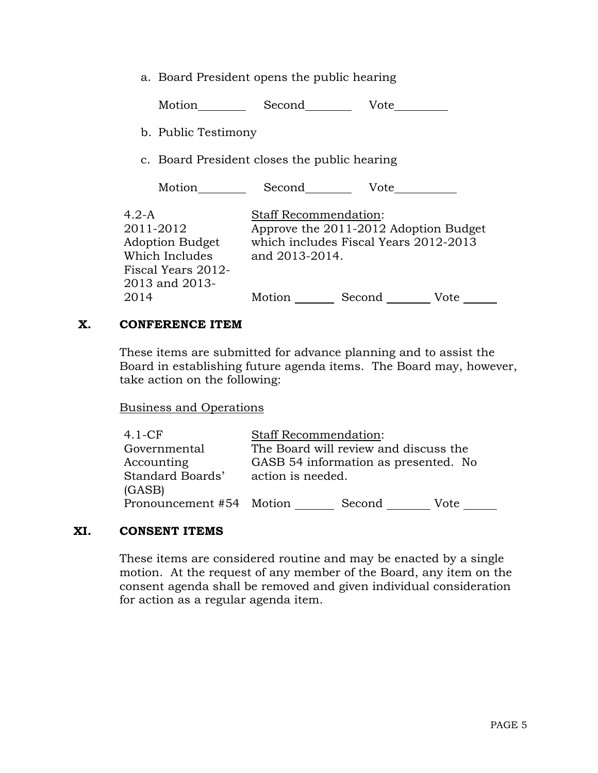a. Board President opens the public hearing

Motion Second Vote

b. Public Testimony

c. Board President closes the public hearing

Motion Second Vote

4.2-A 2011-2012 Adoption Budget Which Includes Fiscal Years 2012- 2013 and 2013- 2014 Staff Recommendation: Approve the 2011-2012 Adoption Budget which includes Fiscal Years 2012-2013 and 2013-2014. Motion Second Vote \_\_\_\_\_\_

#### **X. CONFERENCE ITEM**

These items are submitted for advance planning and to assist the Board in establishing future agenda items. The Board may, however, take action on the following:

Business and Operations

| $4.1-CF$                 | <b>Staff Recommendation:</b> |                                       |      |
|--------------------------|------------------------------|---------------------------------------|------|
| Governmental             |                              | The Board will review and discuss the |      |
| Accounting               |                              | GASB 54 information as presented. No  |      |
| Standard Boards'         | action is needed.            |                                       |      |
| (GASB)                   |                              |                                       |      |
| Pronouncement #54 Motion |                              | Second                                | Vote |

# **XI. CONSENT ITEMS**

These items are considered routine and may be enacted by a single motion. At the request of any member of the Board, any item on the consent agenda shall be removed and given individual consideration for action as a regular agenda item.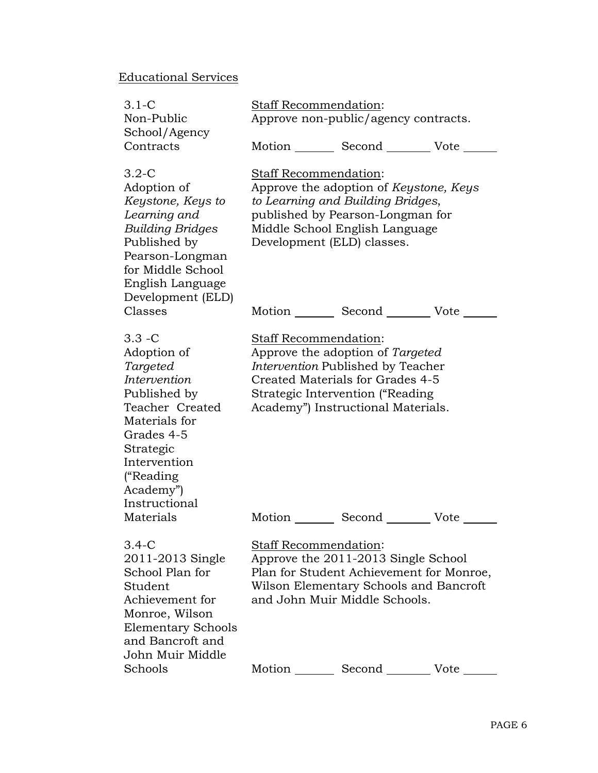# Educational Services

| $3.1 - C$<br>Non-Public                                                                                                                                                                        | Staff Recommendation:<br>Approve non-public/agency contracts.                                                                                                                              |                                                                                                                                                                                     |  |
|------------------------------------------------------------------------------------------------------------------------------------------------------------------------------------------------|--------------------------------------------------------------------------------------------------------------------------------------------------------------------------------------------|-------------------------------------------------------------------------------------------------------------------------------------------------------------------------------------|--|
| School/Agency<br>Contracts                                                                                                                                                                     |                                                                                                                                                                                            | Motion _________ Second _________ Vote ______                                                                                                                                       |  |
| $3.2 - C$<br>Adoption of<br>Keystone, Keys to<br>Learning and<br>Building Bridges<br>Published by<br>Pearson-Longman<br>for Middle School<br>English Language<br>Development (ELD)             | Staff Recommendation:<br>Development (ELD) classes.                                                                                                                                        | Approve the adoption of Keystone, Keys<br>to Learning and Building Bridges,<br>published by Pearson-Longman for<br>Middle School English Language                                   |  |
| Classes                                                                                                                                                                                        |                                                                                                                                                                                            | Motion Second Vote                                                                                                                                                                  |  |
| $3.3 - C$<br>Adoption of<br>Targeted<br>Intervention<br>Published by<br>Teacher Created<br>Materials for<br>Grades 4-5<br>Strategic<br>Intervention<br>("Reading<br>Academy")<br>Instructional | Staff Recommendation:                                                                                                                                                                      | Approve the adoption of Targeted<br>Intervention Published by Teacher<br>Created Materials for Grades 4-5<br>Strategic Intervention ("Reading<br>Academy") Instructional Materials. |  |
| Materials                                                                                                                                                                                      | Motion                                                                                                                                                                                     | Second Vote                                                                                                                                                                         |  |
| $3.4 - C$<br>2011-2013 Single<br>School Plan for<br>Student<br>Achievement for<br>Monroe, Wilson<br><b>Elementary Schools</b><br>and Bancroft and<br>John Muir Middle                          | <b>Staff Recommendation:</b><br>Approve the 2011-2013 Single School<br>Plan for Student Achievement for Monroe,<br>Wilson Elementary Schools and Bancroft<br>and John Muir Middle Schools. |                                                                                                                                                                                     |  |
| Schools                                                                                                                                                                                        |                                                                                                                                                                                            | Motion Second Vote                                                                                                                                                                  |  |
|                                                                                                                                                                                                |                                                                                                                                                                                            |                                                                                                                                                                                     |  |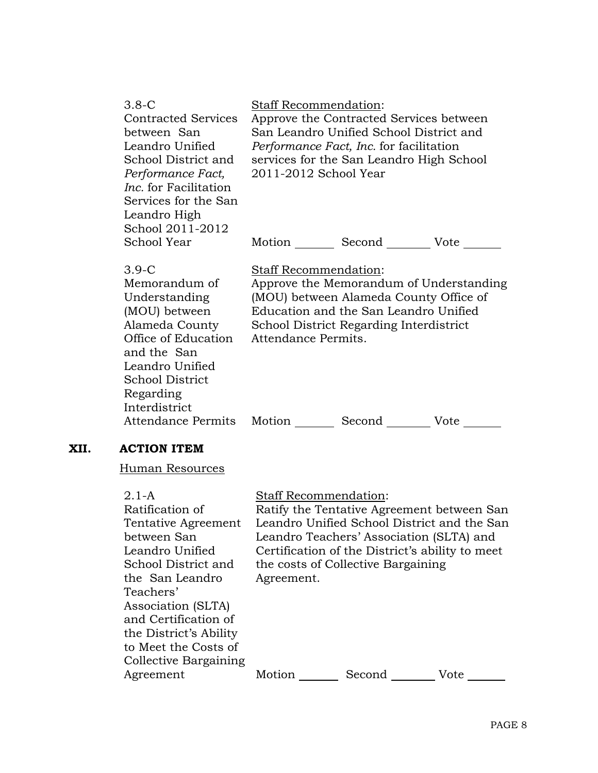| 3.8-C<br><b>Contracted Services</b><br>between San<br>Leandro Unified<br>School District and<br>Performance Fact,<br><i>Inc.</i> for Facilitation<br>Services for the San<br>Leandro High<br>School 2011-2012 | <b>Staff Recommendation:</b><br>Approve the Contracted Services between<br>San Leandro Unified School District and<br><i>Performance Fact, Inc.</i> for facilitation<br>services for the San Leandro High School<br>2011-2012 School Year |
|---------------------------------------------------------------------------------------------------------------------------------------------------------------------------------------------------------------|-------------------------------------------------------------------------------------------------------------------------------------------------------------------------------------------------------------------------------------------|
| School Year                                                                                                                                                                                                   | Motion _________ Second __________ Vote _______                                                                                                                                                                                           |
| $3.9-C$<br>Memorandum of<br>Understanding<br>(MOU) between<br>Alameda County<br>Office of Education<br>and the San<br>Leandro Unified<br><b>School District</b><br>Regarding<br>Interdistrict                 | Staff Recommendation:<br>Approve the Memorandum of Understanding<br>(MOU) between Alameda County Office of<br>Education and the San Leandro Unified<br>School District Regarding Interdistrict<br>Attendance Permits.                     |
| Attendance Permits Motion                                                                                                                                                                                     | Second<br>Vote                                                                                                                                                                                                                            |

# **XII. ACTION ITEM**

Human Resources

| $2.1 - A$<br>Ratification of<br>Tentative Agreement<br>between San<br>Leandro Unified<br>School District and<br>the San Leandro<br>Teachers'<br>Association (SLTA)<br>and Certification of<br>the District's Ability<br>to Meet the Costs of<br>Collective Bargaining | <b>Staff Recommendation:</b><br>Agreement. | Ratify the Tentative Agreement between San<br>Leandro Unified School District and the San<br>Leandro Teachers' Association (SLTA) and<br>Certification of the District's ability to meet<br>the costs of Collective Bargaining |      |
|-----------------------------------------------------------------------------------------------------------------------------------------------------------------------------------------------------------------------------------------------------------------------|--------------------------------------------|--------------------------------------------------------------------------------------------------------------------------------------------------------------------------------------------------------------------------------|------|
| Agreement                                                                                                                                                                                                                                                             | Motion                                     | Second                                                                                                                                                                                                                         | Vote |